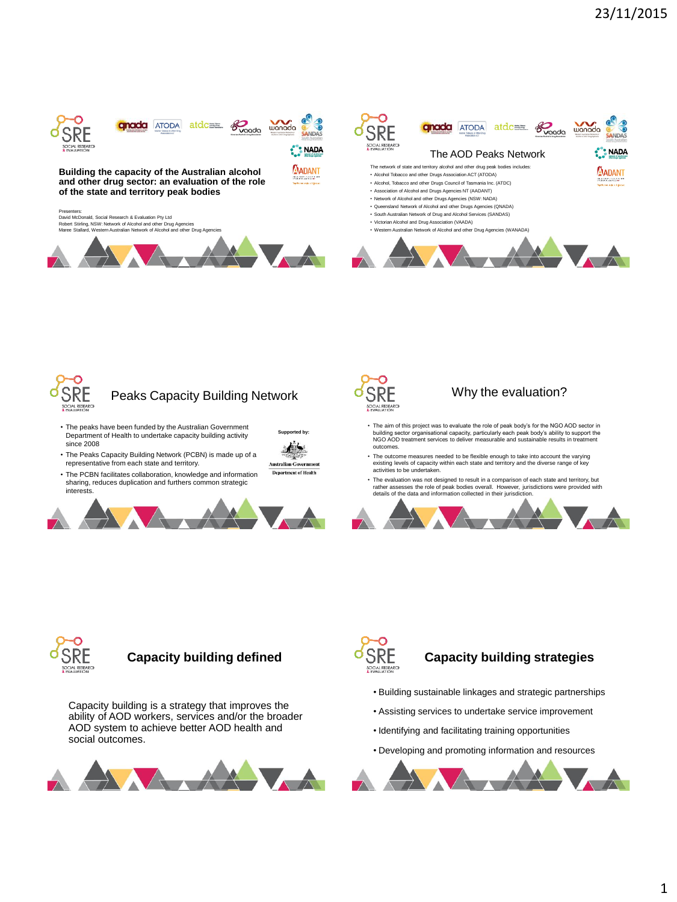



## Peaks Capacity Building Network

- The peaks have been funded by the Australian Government Department of Health to undertake capacity building activity since 2008
- The Peaks Capacity Building Network (PCBN) is made up of a representative from each state and territory.
- The PCBN facilitates collaboration, knowledge and information sharing, reduces duplication and furthers common strategic interests.





**Supported by:** 

**Seits Australian Government Department of Health** 

## Why the evaluation?

- The aim of this project was to evaluate the role of peak body's for the NGO AOD sector in building sector organisational capacity, particularly each peak body's ability to support the NGO AOD treatment services to deliver measurable and sustainable results in treatment outcomes.
- The outcome measures needed to be flexible enough to take into account the varying existing levels of capacity within each state and territory and the diverse range of key activities to be undertaken.
- The evaluation was not designed to result in a comparison of each state and territory, but<br>rather assesses the role of peak bodies overall. However, jurisdictions were provided with<br>details of the data and information co





## **Capacity building defined**

Capacity building is a strategy that improves the ability of AOD workers, services and/or the broader AOD system to achieve better AOD health and social outcomes.





## **Capacity building strategies**

- Building sustainable linkages and strategic partnerships
- Assisting services to undertake service improvement
- Identifying and facilitating training opportunities
- Developing and promoting information and resources

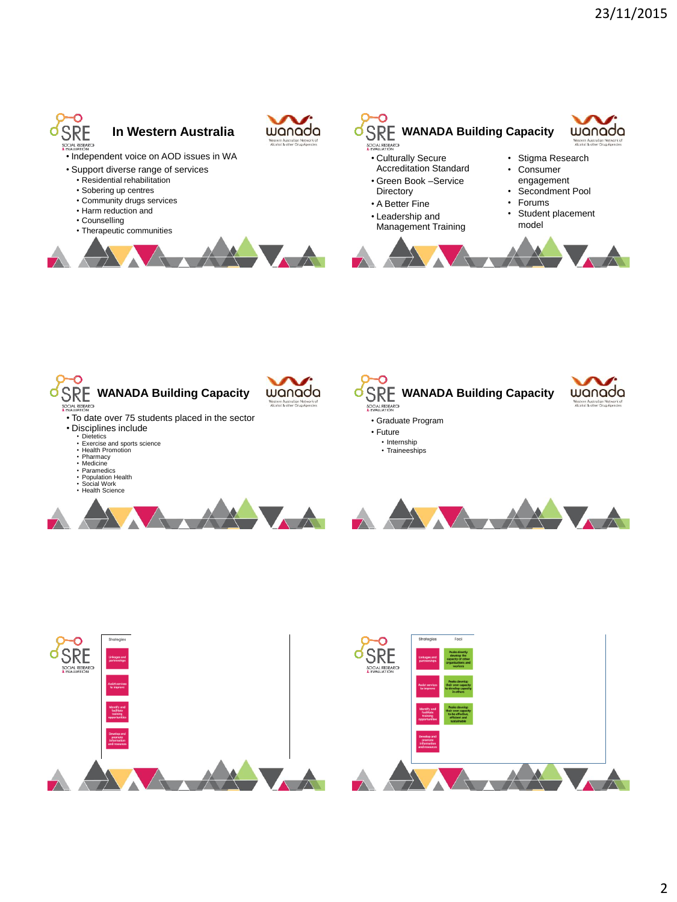wanada